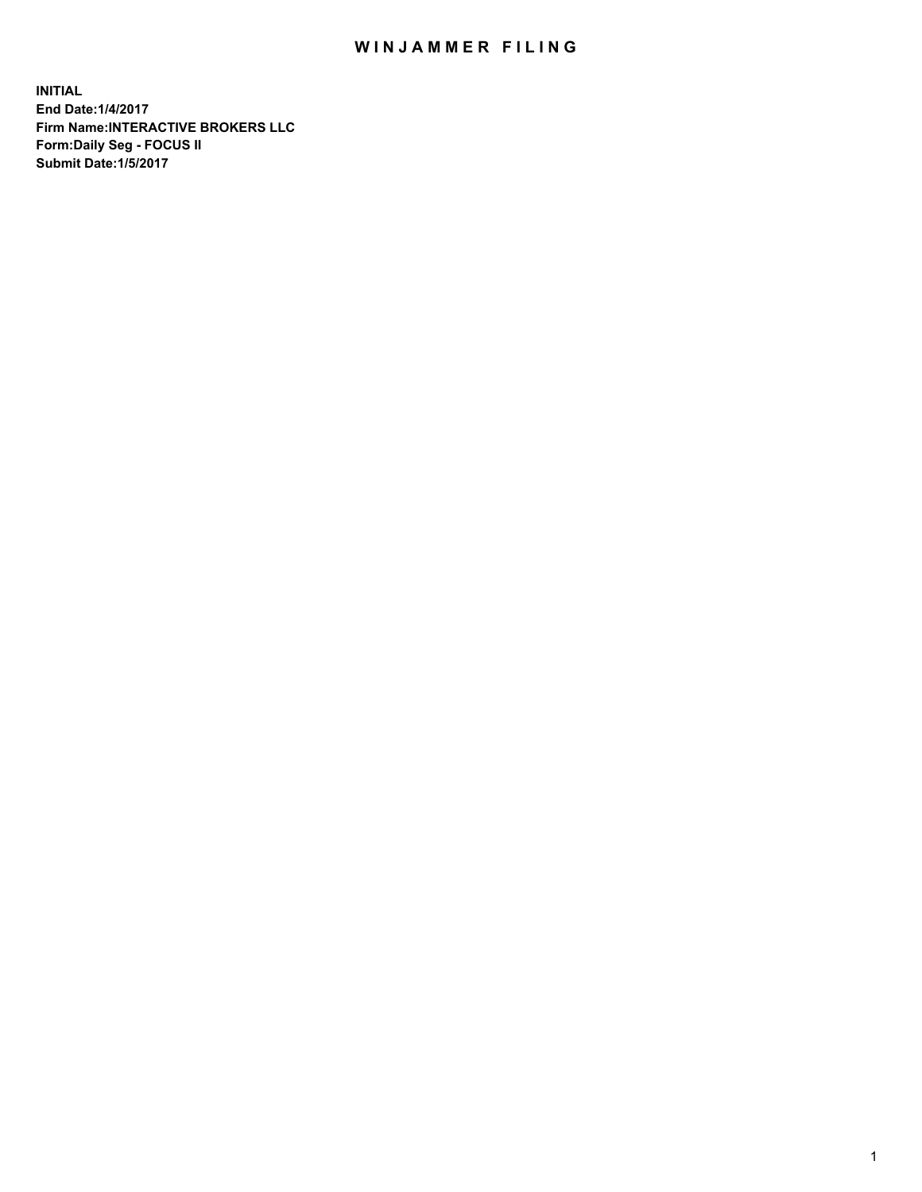## WIN JAMMER FILING

**INITIAL End Date:1/4/2017 Firm Name:INTERACTIVE BROKERS LLC Form:Daily Seg - FOCUS II Submit Date:1/5/2017**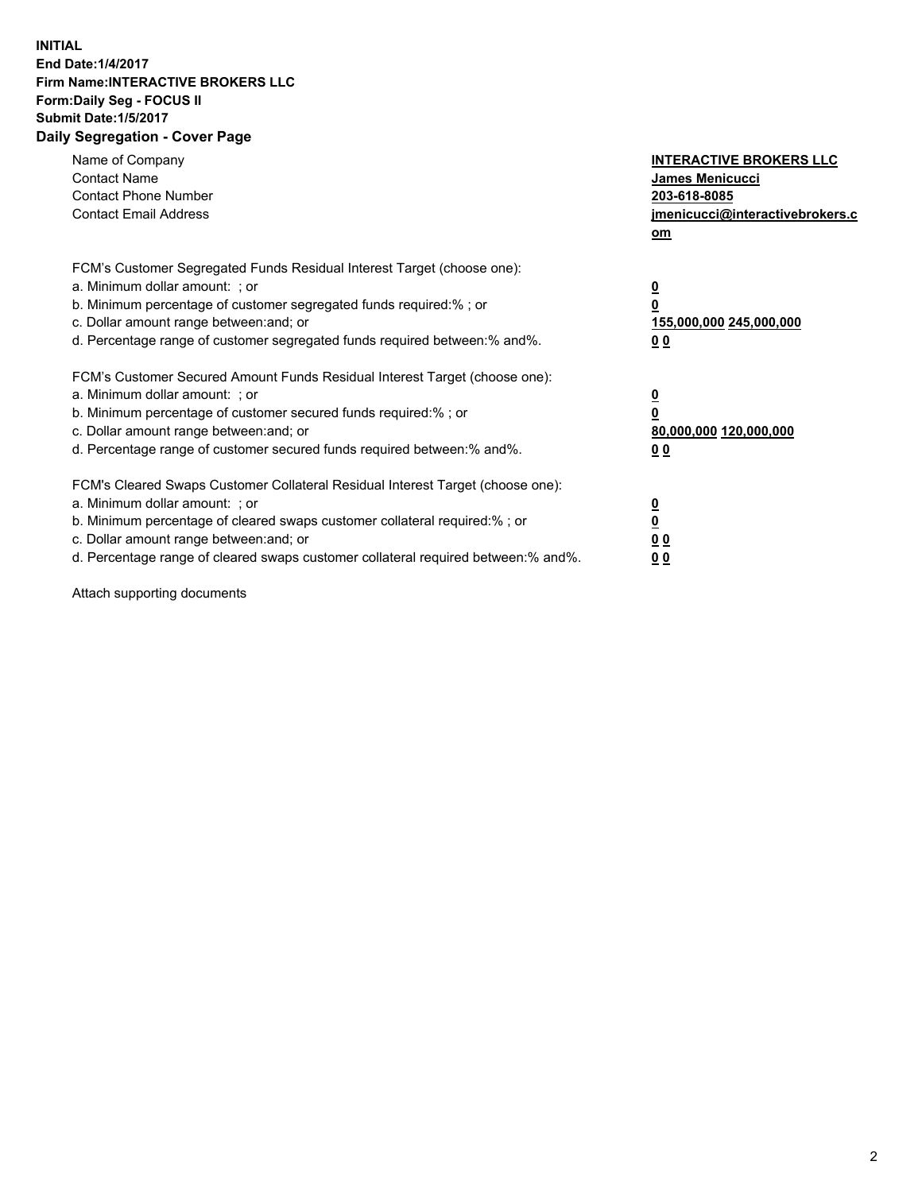## **INITIAL End Date:1/4/2017 Firm Name:INTERACTIVE BROKERS LLC Form:Daily Seg - FOCUS II Submit Date:1/5/2017 Daily Segregation - Cover Page**

| Name of Company<br><b>Contact Name</b><br><b>Contact Phone Number</b><br><b>Contact Email Address</b>                                                                                                                                                                                                                          | <b>INTERACTIVE BROKERS LLC</b><br>James Menicucci<br>203-618-8085<br>jmenicucci@interactivebrokers.c<br>om |
|--------------------------------------------------------------------------------------------------------------------------------------------------------------------------------------------------------------------------------------------------------------------------------------------------------------------------------|------------------------------------------------------------------------------------------------------------|
| FCM's Customer Segregated Funds Residual Interest Target (choose one):<br>a. Minimum dollar amount: ; or<br>b. Minimum percentage of customer segregated funds required:% ; or<br>c. Dollar amount range between: and; or<br>d. Percentage range of customer segregated funds required between:% and%.                         | $\overline{\mathbf{0}}$<br>0<br>155,000,000 245,000,000<br>0 <sub>0</sub>                                  |
| FCM's Customer Secured Amount Funds Residual Interest Target (choose one):<br>a. Minimum dollar amount: ; or<br>b. Minimum percentage of customer secured funds required:%; or<br>c. Dollar amount range between: and; or<br>d. Percentage range of customer secured funds required between: % and %.                          | $\overline{\mathbf{0}}$<br>0<br>80,000,000 120,000,000<br>0 <sub>0</sub>                                   |
| FCM's Cleared Swaps Customer Collateral Residual Interest Target (choose one):<br>a. Minimum dollar amount: ; or<br>b. Minimum percentage of cleared swaps customer collateral required:% ; or<br>c. Dollar amount range between: and; or<br>d. Percentage range of cleared swaps customer collateral required between:% and%. | $\overline{\mathbf{0}}$<br>$\overline{\mathbf{0}}$<br>0 <sub>0</sub><br>0 <sub>0</sub>                     |

Attach supporting documents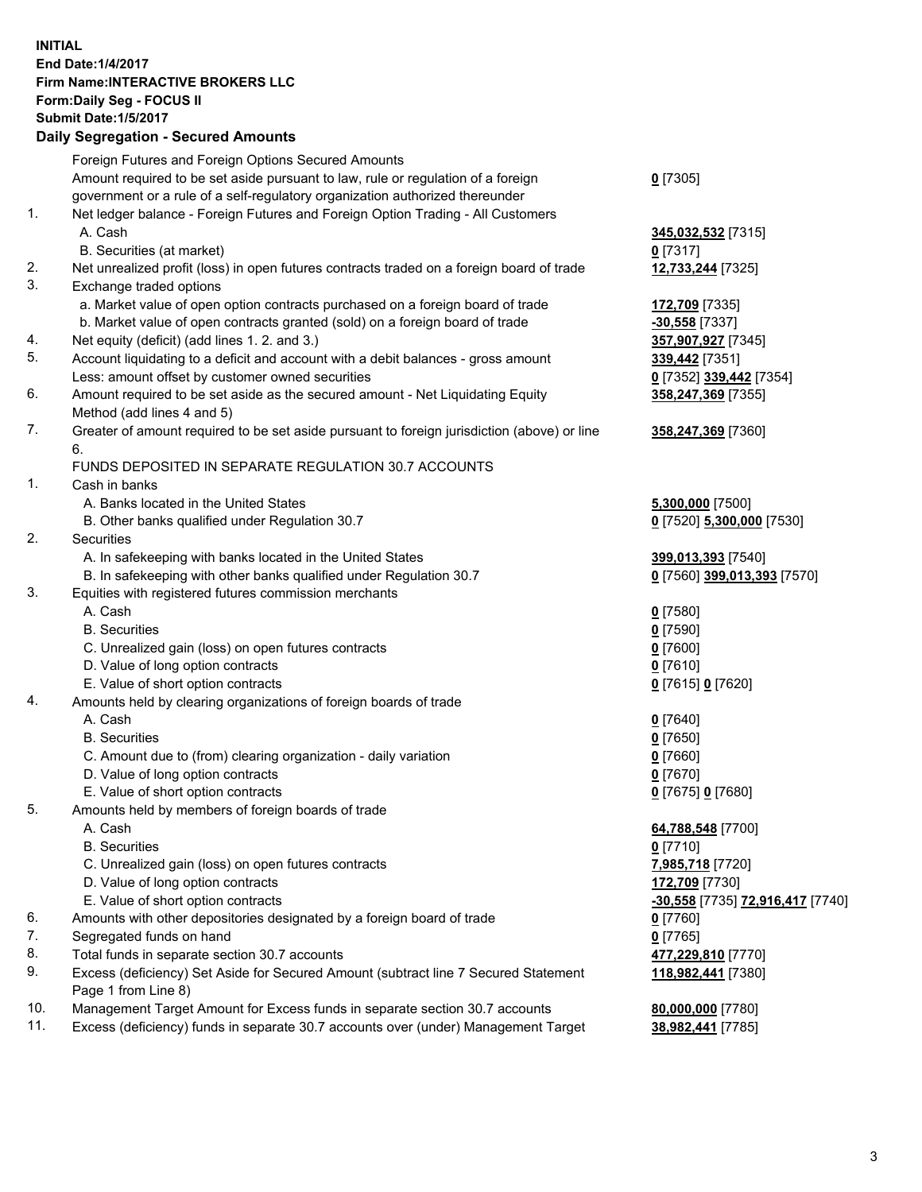## **INITIAL End Date:1/4/2017 Firm Name:INTERACTIVE BROKERS LLC Form:Daily Seg - FOCUS II Submit Date:1/5/2017 Daily Segregation - Secured Amounts**

|     | Foreign Futures and Foreign Options Secured Amounts                                         |                                  |
|-----|---------------------------------------------------------------------------------------------|----------------------------------|
|     | Amount required to be set aside pursuant to law, rule or regulation of a foreign            | $0$ [7305]                       |
|     | government or a rule of a self-regulatory organization authorized thereunder                |                                  |
| 1.  | Net ledger balance - Foreign Futures and Foreign Option Trading - All Customers             |                                  |
|     | A. Cash                                                                                     | 345,032,532 [7315]               |
|     | B. Securities (at market)                                                                   | $0$ [7317]                       |
| 2.  | Net unrealized profit (loss) in open futures contracts traded on a foreign board of trade   | 12,733,244 [7325]                |
| 3.  | Exchange traded options                                                                     |                                  |
|     | a. Market value of open option contracts purchased on a foreign board of trade              | 172,709 [7335]                   |
|     | b. Market value of open contracts granted (sold) on a foreign board of trade                | $-30,558$ [7337]                 |
| 4.  | Net equity (deficit) (add lines 1.2. and 3.)                                                | 357,907,927 [7345]               |
| 5.  | Account liquidating to a deficit and account with a debit balances - gross amount           | 339,442 [7351]                   |
|     | Less: amount offset by customer owned securities                                            | 0 [7352] 339,442 [7354]          |
| 6.  | Amount required to be set aside as the secured amount - Net Liquidating Equity              | 358,247,369 [7355]               |
|     | Method (add lines 4 and 5)                                                                  |                                  |
| 7.  |                                                                                             |                                  |
|     | Greater of amount required to be set aside pursuant to foreign jurisdiction (above) or line | 358,247,369 [7360]               |
|     | 6.                                                                                          |                                  |
|     | FUNDS DEPOSITED IN SEPARATE REGULATION 30.7 ACCOUNTS                                        |                                  |
| 1.  | Cash in banks                                                                               |                                  |
|     | A. Banks located in the United States                                                       | 5,300,000 [7500]                 |
|     | B. Other banks qualified under Regulation 30.7                                              | 0 [7520] 5,300,000 [7530]        |
| 2.  | Securities                                                                                  |                                  |
|     | A. In safekeeping with banks located in the United States                                   | 399,013,393 [7540]               |
|     | B. In safekeeping with other banks qualified under Regulation 30.7                          | 0 [7560] 399,013,393 [7570]      |
| 3.  | Equities with registered futures commission merchants                                       |                                  |
|     | A. Cash                                                                                     | $0$ [7580]                       |
|     | <b>B.</b> Securities                                                                        | $0$ [7590]                       |
|     | C. Unrealized gain (loss) on open futures contracts                                         | $0$ [7600]                       |
|     | D. Value of long option contracts                                                           | $0$ [7610]                       |
|     | E. Value of short option contracts                                                          | 0 [7615] 0 [7620]                |
| 4.  | Amounts held by clearing organizations of foreign boards of trade                           |                                  |
|     | A. Cash                                                                                     | $0$ [7640]                       |
|     | <b>B.</b> Securities                                                                        | $0$ [7650]                       |
|     | C. Amount due to (from) clearing organization - daily variation                             | $0$ [7660]                       |
|     | D. Value of long option contracts                                                           | $0$ [7670]                       |
|     | E. Value of short option contracts                                                          | 0 [7675] 0 [7680]                |
| 5.  | Amounts held by members of foreign boards of trade                                          |                                  |
|     | A. Cash                                                                                     | 64,788,548 [7700]                |
|     | <b>B.</b> Securities                                                                        | $0$ [7710]                       |
|     | C. Unrealized gain (loss) on open futures contracts                                         | 7,985,718 [7720]                 |
|     | D. Value of long option contracts                                                           | 172,709 [7730]                   |
|     | E. Value of short option contracts                                                          | -30,558 [7735] 72,916,417 [7740] |
| 6.  | Amounts with other depositories designated by a foreign board of trade                      | 0 [7760]                         |
| 7.  | Segregated funds on hand                                                                    | $0$ [7765]                       |
| 8.  | Total funds in separate section 30.7 accounts                                               | 477,229,810 [7770]               |
| 9.  | Excess (deficiency) Set Aside for Secured Amount (subtract line 7 Secured Statement         | 118,982,441 [7380]               |
|     | Page 1 from Line 8)                                                                         |                                  |
| 10. | Management Target Amount for Excess funds in separate section 30.7 accounts                 | 80,000,000 [7780]                |
| 11. | Excess (deficiency) funds in separate 30.7 accounts over (under) Management Target          | 38,982,441 [7785]                |
|     |                                                                                             |                                  |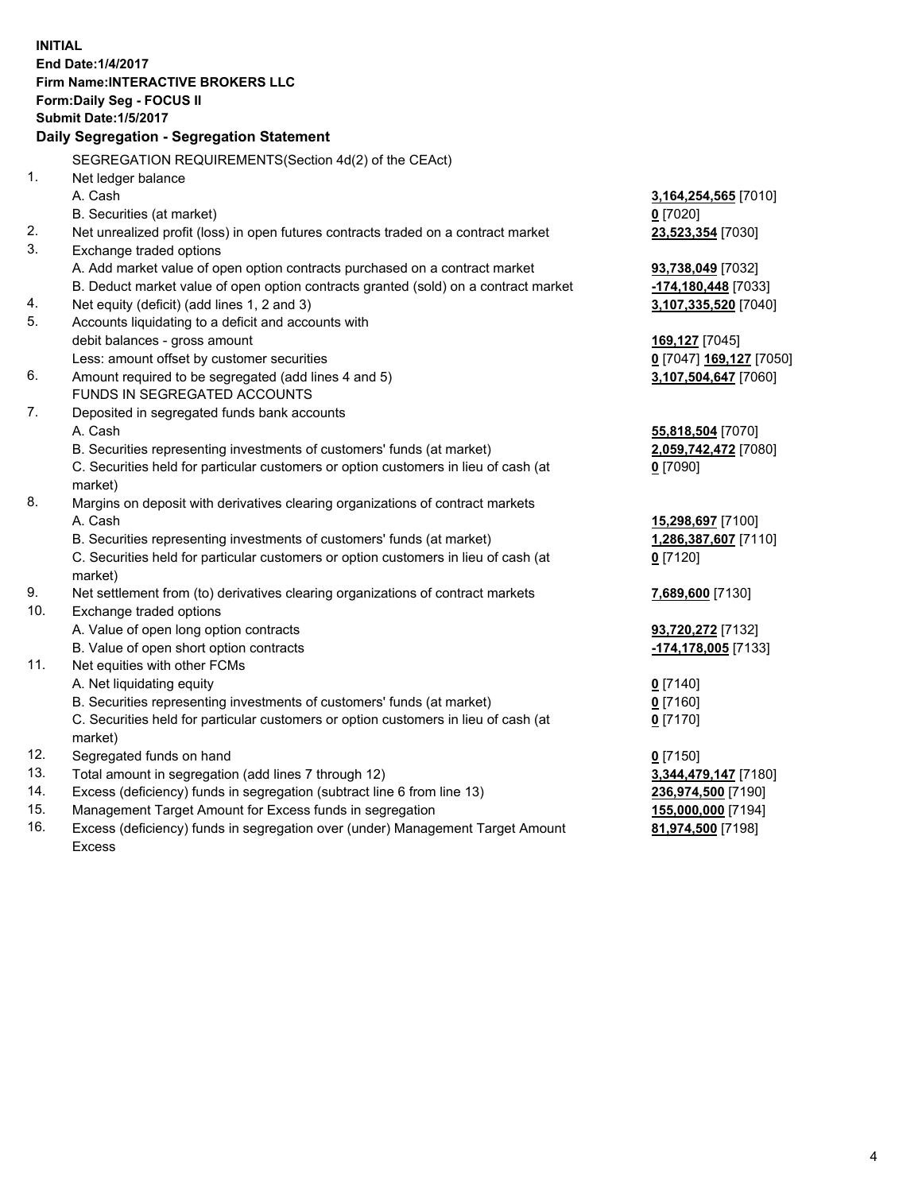**INITIAL End Date:1/4/2017 Firm Name:INTERACTIVE BROKERS LLC Form:Daily Seg - FOCUS II Submit Date:1/5/2017 Daily Segregation - Segregation Statement** SEGREGATION REQUIREMENTS(Section 4d(2) of the CEAct) 1. Net ledger balance A. Cash **3,164,254,565** [7010] B. Securities (at market) **0** [7020] 2. Net unrealized profit (loss) in open futures contracts traded on a contract market **23,523,354** [7030] 3. Exchange traded options A. Add market value of open option contracts purchased on a contract market **93,738,049** [7032] B. Deduct market value of open option contracts granted (sold) on a contract market **-174,180,448** [7033] 4. Net equity (deficit) (add lines 1, 2 and 3) **3,107,335,520** [7040] 5. Accounts liquidating to a deficit and accounts with debit balances - gross amount **169,127** [7045] Less: amount offset by customer securities **0** [7047] **169,127** [7050] 6. Amount required to be segregated (add lines 4 and 5) **3,107,504,647** [7060] FUNDS IN SEGREGATED ACCOUNTS 7. Deposited in segregated funds bank accounts A. Cash **55,818,504** [7070] B. Securities representing investments of customers' funds (at market) **2,059,742,472** [7080] C. Securities held for particular customers or option customers in lieu of cash (at market) **0** [7090] 8. Margins on deposit with derivatives clearing organizations of contract markets A. Cash **15,298,697** [7100] B. Securities representing investments of customers' funds (at market) **1,286,387,607** [7110] C. Securities held for particular customers or option customers in lieu of cash (at market) **0** [7120] 9. Net settlement from (to) derivatives clearing organizations of contract markets **7,689,600** [7130] 10. Exchange traded options A. Value of open long option contracts **93,720,272** [7132] B. Value of open short option contracts **-174,178,005** [7133] 11. Net equities with other FCMs A. Net liquidating equity **0** [7140] B. Securities representing investments of customers' funds (at market) **0** [7160] C. Securities held for particular customers or option customers in lieu of cash (at market) **0** [7170] 12. Segregated funds on hand **0** [7150] 13. Total amount in segregation (add lines 7 through 12) **3,344,479,147** [7180] 14. Excess (deficiency) funds in segregation (subtract line 6 from line 13) **236,974,500** [7190] 15. Management Target Amount for Excess funds in segregation **155,000,000** [7194] **81,974,500** [7198]

16. Excess (deficiency) funds in segregation over (under) Management Target Amount Excess